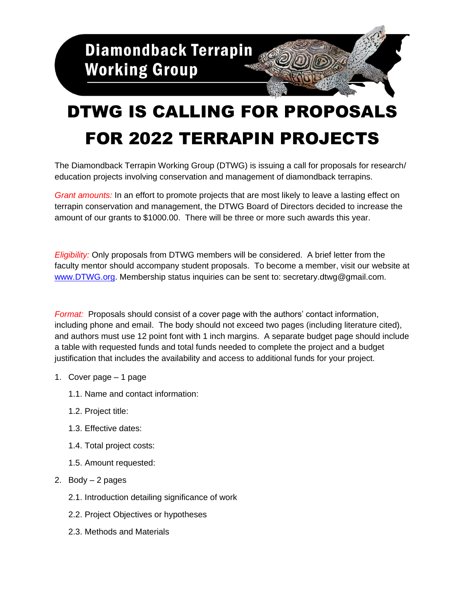

## DTWG IS CALLING FOR PROPOSALS FOR 2022 TERRAPIN PROJECTS

The Diamondback Terrapin Working Group (DTWG) is issuing a call for proposals for research/ education projects involving conservation and management of diamondback terrapins.

*Grant amounts:* In an effort to promote projects that are most likely to leave a lasting effect on terrapin conservation and management, the DTWG Board of Directors decided to increase the amount of our grants to \$1000.00. There will be three or more such awards this year.

*Eligibility:* Only proposals from DTWG members will be considered. A brief letter from the faculty mentor should accompany student proposals. To become a member, visit our website at [www.DTWG.org.](http://www.dtwg.org/) Membership status inquiries can be sent to: secretary.dtwg@gmail.com.

*Format:* Proposals should consist of a cover page with the authors' contact information, including phone and email. The body should not exceed two pages (including literature cited), and authors must use 12 point font with 1 inch margins. A separate budget page should include a table with requested funds and total funds needed to complete the project and a budget justification that includes the availability and access to additional funds for your project.

- 1. Cover page 1 page
	- 1.1. Name and contact information:
	- 1.2. Project title:
	- 1.3. Effective dates:
	- 1.4. Total project costs:
	- 1.5. Amount requested:
- 2. Body  $-2$  pages
	- 2.1. Introduction detailing significance of work
	- 2.2. Project Objectives or hypotheses
	- 2.3. Methods and Materials